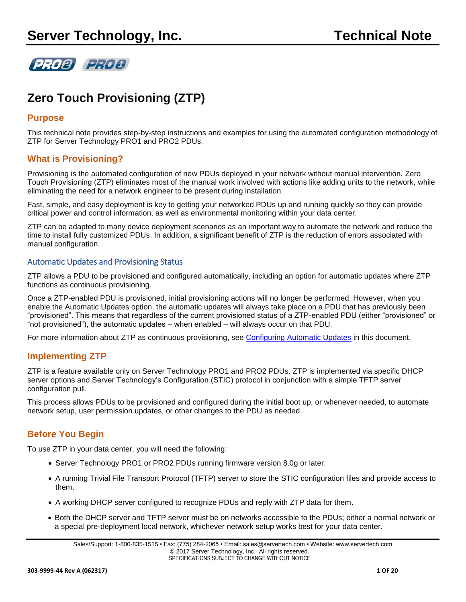

# **Zero Touch Provisioning (ZTP)**

## **Purpose**

This technical note provides step-by-step instructions and examples for using the automated configuration methodology of ZTP for Server Technology PRO1 and PRO2 PDUs.

## **What is Provisioning?**

Provisioning is the automated configuration of new PDUs deployed in your network without manual intervention. Zero Touch Provisioning (ZTP) eliminates most of the manual work involved with actions like adding units to the network, while eliminating the need for a network engineer to be present during installation.

Fast, simple, and easy deployment is key to getting your networked PDUs up and running quickly so they can provide critical power and control information, as well as environmental monitoring within your data center.

ZTP can be adapted to many device deployment scenarios as an important way to automate the network and reduce the time to install fully customized PDUs. In addition, a significant benefit of ZTP is the reduction of errors associated with manual configuration.

### Automatic Updates and Provisioning Status

ZTP allows a PDU to be provisioned and configured automatically, including an option for automatic updates where ZTP functions as continuous provisioning.

Once a ZTP-enabled PDU is provisioned, initial provisioning actions will no longer be performed. However, when you enable the Automatic Updates option, the automatic updates will always take place on a PDU that has previously been "provisioned". This means that regardless of the current provisioned status of a ZTP-enabled PDU (either "provisioned" or "not provisioned"), the automatic updates – when enabled – will always occur on that PDU.

For more information about ZTP as continuous provisioning, see [Configuring Automatic Updates](#page-14-0) in this document.

# **Implementing ZTP**

ZTP is a feature available only on Server Technology PRO1 and PRO2 PDUs. ZTP is implemented via specific DHCP server options and Server Technology's Configuration (STIC) protocol in conjunction with a simple TFTP server configuration pull.

This process allows PDUs to be provisioned and configured during the initial boot up, or whenever needed, to automate network setup, user permission updates, or other changes to the PDU as needed.

# **Before You Begin**

To use ZTP in your data center, you will need the following:

- Server Technology PRO1 or PRO2 PDUs running firmware version 8.0g or later.
- A running Trivial File Transport Protocol (TFTP) server to store the STIC configuration files and provide access to them.
- A working DHCP server configured to recognize PDUs and reply with ZTP data for them.
- Both the DHCP server and TFTP server must be on networks accessible to the PDUs; either a normal network or a special pre-deployment local network, whichever network setup works best for your data center.

Sales/Support: 1-800-835-1515 • Fax: (775) 284-2065 • Email: sales@servertech.com • Website: www.servertech.com © 2017 Server Technology, Inc. All rights reserved. SPECIFICATIONS SUBJECT TO CHANGE WITHOUT NOTICE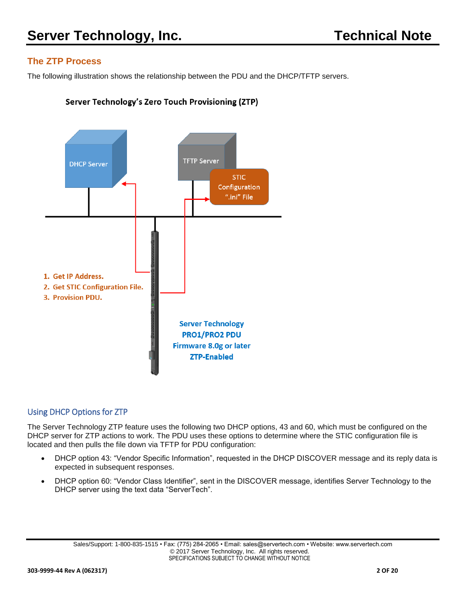# **The ZTP Process**

The following illustration shows the relationship between the PDU and the DHCP/TFTP servers.

## Server Technology's Zero Touch Provisioning (ZTP)



# Using DHCP Options for ZTP

The Server Technology ZTP feature uses the following two DHCP options, 43 and 60, which must be configured on the DHCP server for ZTP actions to work. The PDU uses these options to determine where the STIC configuration file is located and then pulls the file down via TFTP for PDU configuration:

- DHCP option 43: "Vendor Specific Information", requested in the DHCP DISCOVER message and its reply data is expected in subsequent responses.
- DHCP option 60: "Vendor Class Identifier", sent in the DISCOVER message, identifies Server Technology to the DHCP server using the text data "ServerTech".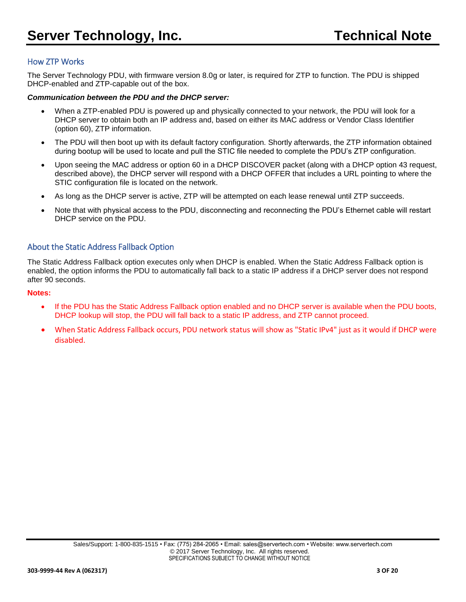## How ZTP Works

The Server Technology PDU, with firmware version 8.0g or later, is required for ZTP to function. The PDU is shipped DHCP-enabled and ZTP-capable out of the box.

#### *Communication between the PDU and the DHCP server:*

- When a ZTP-enabled PDU is powered up and physically connected to your network, the PDU will look for a DHCP server to obtain both an IP address and, based on either its MAC address or Vendor Class Identifier (option 60), ZTP information.
- The PDU will then boot up with its default factory configuration. Shortly afterwards, the ZTP information obtained during bootup will be used to locate and pull the STIC file needed to complete the PDU's ZTP configuration.
- Upon seeing the MAC address or option 60 in a DHCP DISCOVER packet (along with a DHCP option 43 request, described above), the DHCP server will respond with a DHCP OFFER that includes a URL pointing to where the STIC configuration file is located on the network.
- As long as the DHCP server is active, ZTP will be attempted on each lease renewal until ZTP succeeds.
- Note that with physical access to the PDU, disconnecting and reconnecting the PDU's Ethernet cable will restart DHCP service on the PDU.

## About the Static Address Fallback Option

The Static Address Fallback option executes only when DHCP is enabled. When the Static Address Fallback option is enabled, the option informs the PDU to automatically fall back to a static IP address if a DHCP server does not respond after 90 seconds.

#### **Notes:**

- If the PDU has the Static Address Fallback option enabled and no DHCP server is available when the PDU boots, DHCP lookup will stop, the PDU will fall back to a static IP address, and ZTP cannot proceed.
- When Static Address Fallback occurs, PDU network status will show as "Static IPv4" just as it would if DHCP were disabled.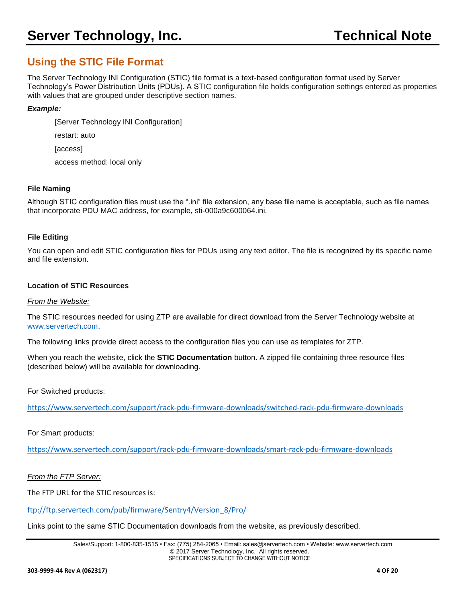# **Using the STIC File Format**

The Server Technology INI Configuration (STIC) file format is a text-based configuration format used by Server Technology's Power Distribution Units (PDUs). A STIC configuration file holds configuration settings entered as properties with values that are grouped under descriptive section names.

### *Example:*

[Server Technology INI Configuration]

restart: auto

[access]

access method: local only

#### **File Naming**

Although STIC configuration files must use the ".ini" file extension, any base file name is acceptable, such as file names that incorporate PDU MAC address, for example, sti-000a9c600064.ini.

#### **File Editing**

You can open and edit STIC configuration files for PDUs using any text editor. The file is recognized by its specific name and file extension.

#### **Location of STIC Resources**

#### *From the Website:*

The STIC resources needed for using ZTP are available for direct download from the Server Technology website at [www.servertech.com.](http://www.servertech.com/)

The following links provide direct access to the configuration files you can use as templates for ZTP.

When you reach the website, click the **STIC Documentation** button. A zipped file containing three resource files (described below) will be available for downloading.

For Switched products:

<https://www.servertech.com/support/rack-pdu-firmware-downloads/switched-rack-pdu-firmware-downloads>

#### For Smart products:

<https://www.servertech.com/support/rack-pdu-firmware-downloads/smart-rack-pdu-firmware-downloads>

*From the FTP Server:*

The FTP URL for the STIC resources is:

[ftp://ftp.servertech.com/pub/firmware/Sentry4/Version\\_8/Pro/](ftp://ftp.servertech.com/pub/firmware/Sentry4/Version_8/Pro/)

Links point to the same STIC Documentation downloads from the website, as previously described.

Sales/Support: 1-800-835-1515 • Fax: (775) 284-2065 • Email: sales@servertech.com • Website: www.servertech.com © 2017 Server Technology, Inc. All rights reserved. SPECIFICATIONS SUBJECT TO CHANGE WITHOUT NOTICE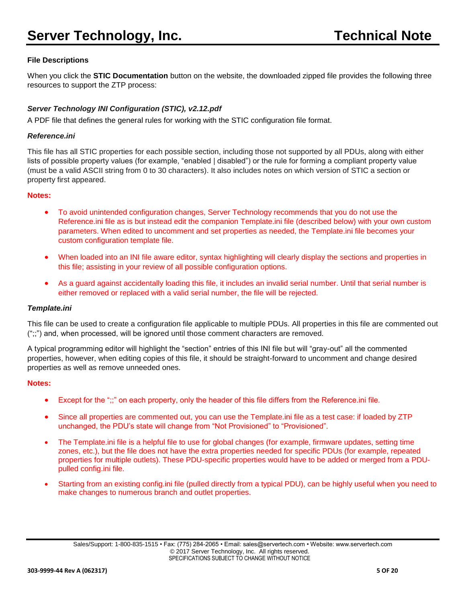## **File Descriptions**

When you click the **STIC Documentation** button on the website, the downloaded zipped file provides the following three resources to support the ZTP process:

## *Server Technology INI Configuration (STIC), v2.12.pdf*

A PDF file that defines the general rules for working with the STIC configuration file format.

#### *Reference.ini*

This file has all STIC properties for each possible section, including those not supported by all PDUs, along with either lists of possible property values (for example, "enabled | disabled") or the rule for forming a compliant property value (must be a valid ASCII string from 0 to 30 characters). It also includes notes on which version of STIC a section or property first appeared.

#### **Notes:**

- To avoid unintended configuration changes, Server Technology recommends that you do not use the Reference.ini file as is but instead edit the companion Template.ini file (described below) with your own custom parameters. When edited to uncomment and set properties as needed, the Template.ini file becomes your custom configuration template file.
- When loaded into an INI file aware editor, syntax highlighting will clearly display the sections and properties in this file; assisting in your review of all possible configuration options.
- As a guard against accidentally loading this file, it includes an invalid serial number. Until that serial number is either removed or replaced with a valid serial number, the file will be rejected.

#### *Template.ini*

This file can be used to create a configuration file applicable to multiple PDUs. All properties in this file are commented out (";;") and, when processed, will be ignored until those comment characters are removed.

A typical programming editor will highlight the "section" entries of this INI file but will "gray-out" all the commented properties, however, when editing copies of this file, it should be straight-forward to uncomment and change desired properties as well as remove unneeded ones.

#### **Notes:**

- Except for the ";;" on each property, only the header of this file differs from the Reference.ini file.
- Since all properties are commented out, you can use the Template. ini file as a test case: if loaded by ZTP unchanged, the PDU's state will change from "Not Provisioned" to "Provisioned".
- The Template.ini file is a helpful file to use for global changes (for example, firmware updates, setting time zones, etc.), but the file does not have the extra properties needed for specific PDUs (for example, repeated properties for multiple outlets). These PDU-specific properties would have to be added or merged from a PDUpulled config.ini file.
- Starting from an existing config.ini file (pulled directly from a typical PDU), can be highly useful when you need to make changes to numerous branch and outlet properties.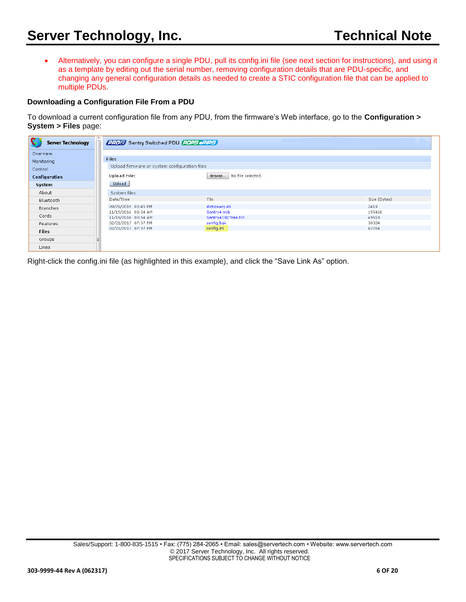• Alternatively, you can configure a single PDU, pull its config.ini file (see next section for instructions), and using it as a template by editing out the serial number, removing configuration details that are PDU-specific, and changing any general configuration details as needed to create a STIC configuration file that can be applied to multiple PDUs.

#### **Downloading a Configuration File From a PDU**

To download a current configuration file from any PDU, from the firmware's Web interface, go to the **Configuration > System > Files** page:

| <b>Server Technology</b> | ▴<br><b>PROP</b> Sentry Switched PDU <b>POPS PPIPS</b> |                                   |                 |
|--------------------------|--------------------------------------------------------|-----------------------------------|-----------------|
| Overview                 |                                                        |                                   |                 |
| Monitoring               | <b>Files</b>                                           |                                   |                 |
| Control                  | Upload firmware or system configuration files          |                                   |                 |
| Configuration            | <b>Upload File:</b>                                    | No file selected.<br>Browse       |                 |
| System                   | <b>Upload</b>                                          |                                   |                 |
| About                    | System files                                           |                                   |                 |
| Bluetooth                | Date/Time                                              | File                              | Size (Bytes)    |
| Branches                 | 09/29/2015 03:45 PM                                    | dictionary.sti                    | 2419            |
| Cords                    | 11/19/2016 00:54 AM<br>11/19/2016 00:54 AM             | Sentry4.mib<br>Sentry4OIDTree.txt | 155468<br>49518 |
| Features                 | 02/21/2017 07:37 PM                                    | config.bak                        | 38304           |
| <b>Files</b>             | 02/21/2017 07:37 PM                                    | config.ini                        | 62264           |
| Groups                   |                                                        |                                   |                 |
| <b>Lines</b>             |                                                        |                                   |                 |

Right-click the config.ini file (as highlighted in this example), and click the "Save Link As" option.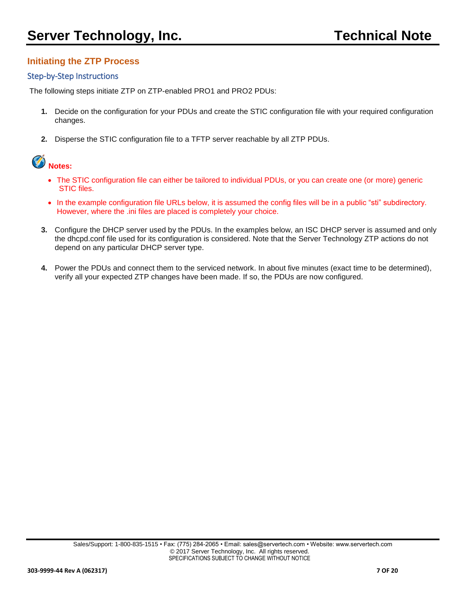# **Initiating the ZTP Process**

## Step-by-Step Instructions

The following steps initiate ZTP on ZTP-enabled PRO1 and PRO2 PDUs:

- **1.** Decide on the configuration for your PDUs and create the STIC configuration file with your required configuration changes.
- **2.** Disperse the STIC configuration file to a TFTP server reachable by all ZTP PDUs.



- The STIC configuration file can either be tailored to individual PDUs, or you can create one (or more) generic STIC files.
- In the example configuration file URLs below, it is assumed the config files will be in a public "sti" subdirectory. However, where the .ini files are placed is completely your choice.
- **3.** Configure the DHCP server used by the PDUs. In the examples below, an ISC DHCP server is assumed and only the dhcpd.conf file used for its configuration is considered. Note that the Server Technology ZTP actions do not depend on any particular DHCP server type.
- **4.** Power the PDUs and connect them to the serviced network. In about five minutes (exact time to be determined), verify all your expected ZTP changes have been made. If so, the PDUs are now configured.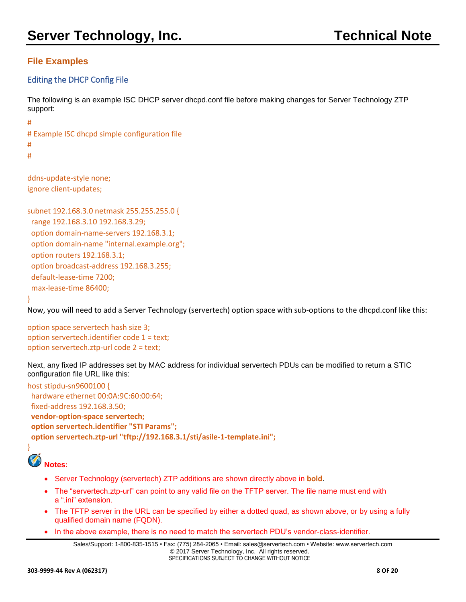# **File Examples**

## Editing the DHCP Config File

The following is an example ISC DHCP server dhcpd.conf file before making changes for Server Technology ZTP support:

# Example ISC dhcpd simple configuration file # #

ddns-update-style none; ignore client-updates;

subnet 192.168.3.0 netmask 255.255.255.0 { range 192.168.3.10 192.168.3.29; option domain-name-servers 192.168.3.1; option domain-name "internal.example.org"; option routers 192.168.3.1; option broadcast-address 192.168.3.255; default-lease-time 7200; max-lease-time 86400;

}

#

Now, you will need to add a Server Technology (servertech) option space with sub-options to the dhcpd.conf like this:

option space servertech hash size 3; option servertech.identifier code 1 = text; option servertech.ztp-url code 2 = text;

Next, any fixed IP addresses set by MAC address for individual servertech PDUs can be modified to return a STIC configuration file URL like this:

host stipdu-sn9600100 { hardware ethernet 00:0A:9C:60:00:64; fixed-address 192.168.3.50; **vendor-option-space servertech; option servertech.identifier "STI Params"; option servertech.ztp-url "tftp://192.168.3.1/sti/asile-1-template.ini";**



- Server Technology (servertech) ZTP additions are shown directly above in **bold**.
- The "servertech.ztp-url" can point to any valid file on the TFTP server. The file name must end with a ".ini" extension.
- The TFTP server in the URL can be specified by either a dotted quad, as shown above, or by using a fully qualified domain name (FQDN).
- In the above example, there is no need to match the servertech PDU's vendor-class-identifier.

```
Sales/Support: 1-800-835-1515 • Fax: (775) 284-2065 • Email: sales@servertech.com • Website: www.servertech.com
                                 © 2017 Server Technology, Inc. All rights reserved.
                                 SPECIFICATIONS SUBJECT TO CHANGE WITHOUT NOTICE
```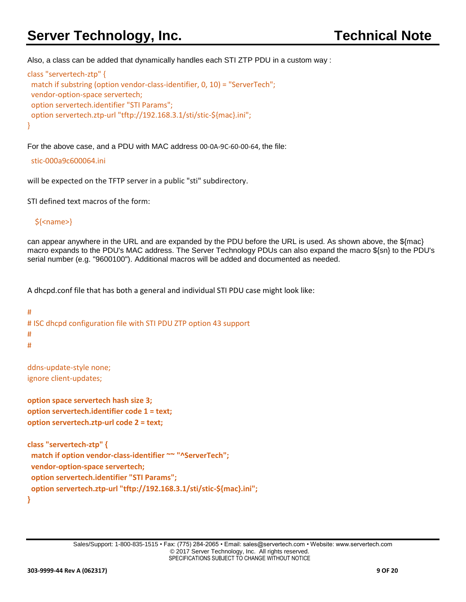# **Server Technology, Inc.** Technical Note

Also, a class can be added that dynamically handles each STI ZTP PDU in a custom way :

```
class "servertech-ztp" {
 match if substring (option vendor-class-identifier, 0, 10) = "ServerTech";
 vendor-option-space servertech;
 option servertech.identifier "STI Params";
 option servertech.ztp-url "tftp://192.168.3.1/sti/stic-${mac}.ini";
}
```
For the above case, and a PDU with MAC address 00-0A-9C-60-00-64, the file:

#### stic-000a9c600064.ini

will be expected on the TFTP server in a public "sti" subdirectory.

STI defined text macros of the form:

## \${<name>}

can appear anywhere in the URL and are expanded by the PDU before the URL is used. As shown above, the \${mac} macro expands to the PDU's MAC address. The Server Technology PDUs can also expand the macro \${sn} to the PDU's serial number (e.g. "9600100"). Additional macros will be added and documented as needed.

A dhcpd.conf file that has both a general and individual STI PDU case might look like:

```
#
# ISC dhcpd configuration file with STI PDU ZTP option 43 support
#
#
```
ddns-update-style none; ignore client-updates;

```
option space servertech hash size 3;
option servertech.identifier code 1 = text;
option servertech.ztp-url code 2 = text;
```

```
class "servertech-ztp" {
 match if option vendor-class-identifier ~~ "^ServerTech";
 vendor-option-space servertech;
 option servertech.identifier "STI Params";
 option servertech.ztp-url "tftp://192.168.3.1/sti/stic-${mac}.ini";
}
```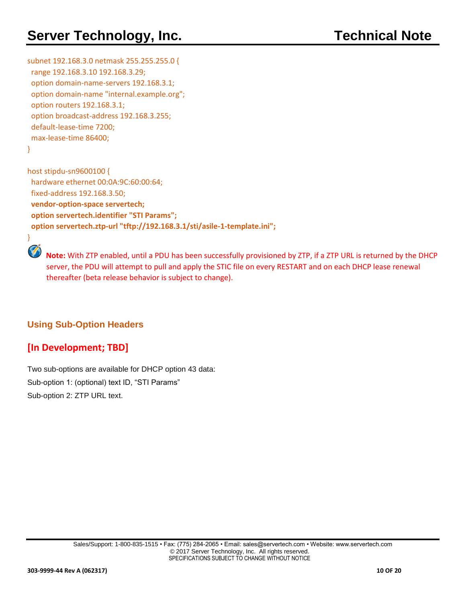# **Server Technology, Inc.** Technical Note

subnet 192.168.3.0 netmask 255.255.255.0 { range 192.168.3.10 192.168.3.29; option domain-name-servers 192.168.3.1; option domain-name "internal.example.org"; option routers 192.168.3.1; option broadcast-address 192.168.3.255; default-lease-time 7200; max-lease-time 86400;

```
}
```
}

host stipdu-sn9600100 { hardware ethernet 00:0A:9C:60:00:64; fixed-address 192.168.3.50; **vendor-option-space servertech; option servertech.identifier "STI Params"; option servertech.ztp-url "tftp://192.168.3.1/sti/asile-1-template.ini";**

 **Note:** With ZTP enabled, until a PDU has been successfully provisioned by ZTP, if a ZTP URL is returned by the DHCP server, the PDU will attempt to pull and apply the STIC file on every RESTART and on each DHCP lease renewal thereafter (beta release behavior is subject to change).

# **Using Sub-Option Headers**

# **[In Development; TBD]**

Two sub-options are available for DHCP option 43 data: Sub-option 1: (optional) text ID, "STI Params" Sub-option 2: ZTP URL text.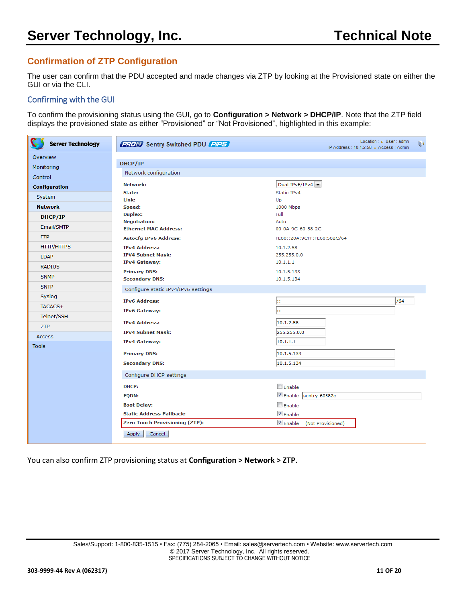# **Confirmation of ZTP Configuration**

The user can confirm that the PDU accepted and made changes via ZTP by looking at the Provisioned state on either the GUI or via the CLI.

## Confirming with the GUI

To confirm the provisioning status using the GUI, go to **Configuration > Network > DHCP/IP**. Note that the ZTP field displays the provisioned state as either "Provisioned" or "Not Provisioned", highlighted in this example:

| <b>Server Technology</b> | <b>2708</b> Sentry Switched PDU <b>PIPS</b>  | Location : a User : admn<br>IP Address: 10.1.2.58 n Access: Admin |
|--------------------------|----------------------------------------------|-------------------------------------------------------------------|
| Overview                 | DHCP/IP                                      |                                                                   |
| Monitoring               | Network configuration                        |                                                                   |
| Control                  |                                              |                                                                   |
| <b>Configuration</b>     | Network:                                     | Dual IPv6/IPv4                                                    |
| System                   | State:<br>Link:                              | Static IPv4                                                       |
| <b>Network</b>           | Speed:                                       | Up<br>1000 Mbps                                                   |
| DHCP/IP                  | Duplex:                                      | Full                                                              |
|                          | <b>Negotiation:</b>                          | Auto                                                              |
| Email/SMTP               | <b>Ethernet MAC Address:</b>                 | 00-0A-9C-60-58-2C                                                 |
| <b>FTP</b>               | <b>Autocfg IPv6 Address:</b>                 | FE80::20A:9CFF:FE60:582C/64                                       |
| <b>HTTP/HTTPS</b>        | <b>IPv4 Address:</b>                         | 10.1.2.58                                                         |
| <b>LDAP</b>              | <b>IPV4 Subnet Mask:</b>                     | 255.255.0.0<br>10.1.1.1                                           |
| <b>RADIUS</b>            | <b>IPv4 Gateway:</b>                         |                                                                   |
| <b>SNMP</b>              | <b>Primary DNS:</b><br><b>Secondary DNS:</b> | 10.1.5.133<br>10.1.5.134                                          |
| <b>SNTP</b>              |                                              |                                                                   |
| Syslog                   | Configure static IPv4/IPv6 settings          |                                                                   |
| TACACS+                  | <b>IPv6 Address:</b>                         | /64<br>h.                                                         |
|                          | IPv6 Gateway:                                | Ŀг.                                                               |
| Telnet/SSH               | <b>IPv4 Address:</b>                         | 10.1.2.58                                                         |
| ZTP                      | <b>IPv4 Subnet Mask:</b>                     | 255.255.0.0                                                       |
| Access                   | <b>IPv4 Gateway:</b>                         | 10.1.1.1                                                          |
| <b>Tools</b>             |                                              |                                                                   |
|                          | <b>Primary DNS:</b>                          | 10.1.5.133                                                        |
|                          | <b>Secondary DNS:</b>                        | 10.1.5.134                                                        |
|                          | Configure DHCP settings                      |                                                                   |
|                          | DHCP:                                        | Enable                                                            |
|                          | <b>FQDN:</b>                                 | Enable sentry-60582c                                              |
|                          | <b>Boot Delay:</b>                           | Enable                                                            |
|                          | <b>Static Address Fallback:</b>              | $\sqrt{ }$ Enable                                                 |
|                          | <b>Zero Touch Provisioning (ZTP):</b>        | <b>Z</b> Enable<br>(Not Provisioned)                              |

You can also confirm ZTP provisioning status at **Configuration > Network > ZTP**.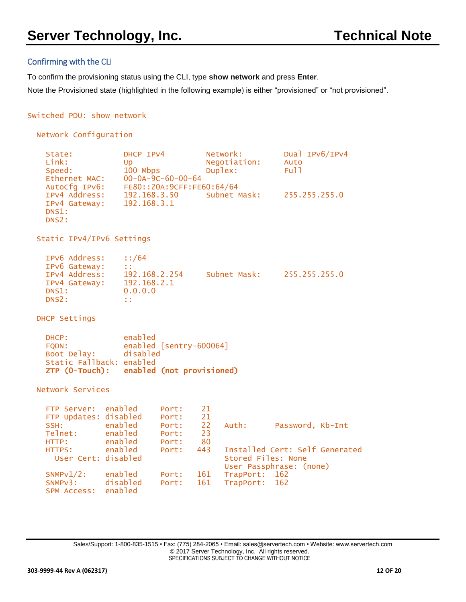## Confirming with the CLI

To confirm the provisioning status using the CLI, type **show network** and press **Enter**.

Note the Provisioned state (highlighted in the following example) is either "provisioned" or "not provisioned".

#### Switched PDU: show network

```
Network Configuration
```

| State:        | DHCP IPv4                     | Network:     | Dual IPv6/IPv4 |
|---------------|-------------------------------|--------------|----------------|
| Link:         | Up                            | Negotiation: | Auto           |
| Speed:        | 100 Mbps                      | Duplex:      | Full           |
| Ethernet MAC: | $00 - 0A - 9C - 60 - 00 - 64$ |              |                |
| AutoCfg IPv6: | FE80::20A:9CFF:FE60:64/64     |              |                |
| IPv4 Address: | 192.168.3.50                  | Subnet Mask: | 255.255.255.0  |
| IPv4 Gateway: | 192.168.3.1                   |              |                |
| DNS1:         |                               |              |                |
| DNS2:         |                               |              |                |

Static IPv4/IPv6 Settings

| IPv6 Address: | :1/64         |              |               |
|---------------|---------------|--------------|---------------|
| IPv6 Gateway: | 11            |              |               |
| IPv4 Address: | 192.168.2.254 | Subnet Mask: | 255.255.255.0 |
| IPv4 Gateway: | 192.168.2.1   |              |               |
| DNS1:         | 0.0.0.0       |              |               |
| DNS2:         | . .<br>. .    |              |               |

DHCP Settings

| $ZTP$ $(O-Touch)$ :      | enabled (not provisioned) |
|--------------------------|---------------------------|
| Static Fallback: enabled |                           |
| Boot Delay:              | disabled                  |
| FODN:                    | enabled [sentry-600064]   |
| DHCP:                    | enabled                   |

Network Services

| FTP Server: enabled   |         | Port: | 21  |                    |                                |  |
|-----------------------|---------|-------|-----|--------------------|--------------------------------|--|
| FTP Updates: disabled |         | Port: | 21  |                    |                                |  |
| SSH:                  | enabled | Port: | 22  | Auth:              | Password, Kb-Int               |  |
| Telnet:               | enabled | Port: | 23  |                    |                                |  |
| HTTP:                 | enabled | Port: | 80  |                    |                                |  |
| HTTPS:                | enabled | Port: | 443 |                    | Installed Cert: Self Generated |  |
| User Cert: disabled   |         |       |     | Stored Files: None |                                |  |
|                       |         |       |     |                    | User Passphrase: (none)        |  |
| $SNMPv1/2$ :          | enabled | Port: | 161 | TrapPort: 162      |                                |  |
| SNMPv3: disabled      |         | Port: | 161 | TrapPort: 162      |                                |  |
| <b>SPM ACCESS:</b>    | enabled |       |     |                    |                                |  |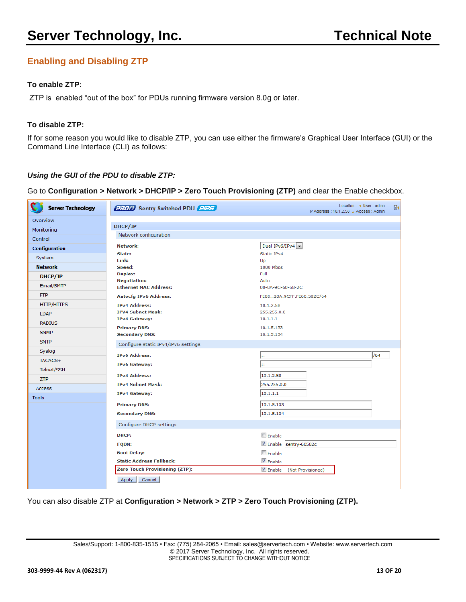# **Enabling and Disabling ZTP**

## **To enable ZTP:**

ZTP is enabled "out of the box" for PDUs running firmware version 8.0g or later.

#### **To disable ZTP:**

If for some reason you would like to disable ZTP, you can use either the firmware's Graphical User Interface (GUI) or the Command Line Interface (CLI) as follows:

#### *Using the GUI of the PDU to disable ZTP:*

#### Go to **Configuration > Network > DHCP/IP > Zero Touch Provisioning (ZTP)** and clear the Enable checkbox.

| <b>Server Technology</b> | <b>2702</b> Sentry Switched PDU <b>PIPS</b>  | Location : a User : admn<br>$\mathbb{R}$<br>IP Address: 10.1.2.58 p Access: Admin |
|--------------------------|----------------------------------------------|-----------------------------------------------------------------------------------|
| Overview                 |                                              |                                                                                   |
| Monitoring               | DHCP/IP                                      |                                                                                   |
| Control                  | Network configuration                        |                                                                                   |
| <b>Configuration</b>     | Network:                                     | Dual IPv6/IPv4                                                                    |
| System                   | State:                                       | Static IPv4                                                                       |
| <b>Network</b>           | Link:<br>Speed:                              | Up<br>1000 Mbps                                                                   |
|                          | Duplex:                                      | Full                                                                              |
| DHCP/IP                  | <b>Negotiation:</b>                          | Auto                                                                              |
| Email/SMTP               | <b>Ethernet MAC Address:</b>                 | 00-0A-9C-60-58-2C                                                                 |
| <b>FTP</b>               | <b>Autocfg IPv6 Address:</b>                 | FE80::20A:9CFF:FE60:582C/64                                                       |
| <b>HTTP/HTTPS</b>        | <b>IPv4 Address:</b>                         | 10.1.2.58                                                                         |
| <b>LDAP</b>              | <b>IPV4 Subnet Mask:</b>                     | 255,255,0,0                                                                       |
| <b>RADIUS</b>            | <b>IPv4 Gateway:</b>                         | 10.1.1.1                                                                          |
| <b>SNMP</b>              | <b>Primary DNS:</b><br><b>Secondary DNS:</b> | 10.1.5.133<br>10.1.5.134                                                          |
| <b>SNTP</b>              |                                              |                                                                                   |
| Syslog                   | Configure static IPv4/IPv6 settings          |                                                                                   |
| TACACS+                  | <b>IPv6 Address:</b>                         | /64<br>h.                                                                         |
|                          | <b>IPv6 Gateway:</b>                         | h:                                                                                |
| Telnet/SSH               | <b>IPv4 Address:</b>                         | 10.1.2.58                                                                         |
| <b>ZTP</b>               | <b>IPv4 Subnet Mask:</b>                     | 255.255.0.0                                                                       |
| Access                   | <b>IPv4 Gateway:</b>                         | 10.1.1.1                                                                          |
| <b>Tools</b>             |                                              |                                                                                   |
|                          | <b>Primary DNS:</b>                          | 10.1.5.133                                                                        |
|                          | <b>Secondary DNS:</b>                        | 10.1.5.134                                                                        |
|                          | Configure DHCP settings                      |                                                                                   |
|                          | DHCP:                                        | <b>Enable</b>                                                                     |
|                          | <b>FQDN:</b>                                 | Enable sentry-60582c                                                              |
|                          | <b>Boot Delay:</b>                           | Enable                                                                            |
|                          | <b>Static Address Fallback:</b>              | <b>V</b> Enable                                                                   |
|                          | <b>Zero Touch Provisioning (ZTP):</b>        | Enable<br>(Not Provisioned)                                                       |
|                          | Cancel<br><b>Apply</b>                       |                                                                                   |

You can also disable ZTP at **Configuration > Network > ZTP > Zero Touch Provisioning (ZTP).**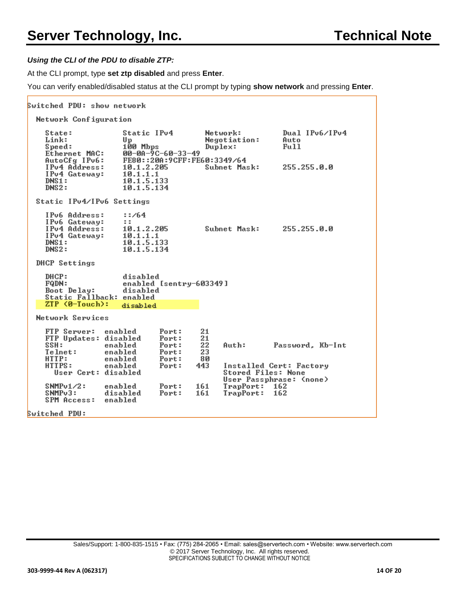#### *Using the CLI of the PDU to disable ZTP:*

At the CLI prompt, type **set ztp disabled** and press **Enter**.

You can verify enabled/disabled status at the CLI prompt by typing **show network** and pressing **Enter**.

```
Switched PDU: show network
  Network Configuration
    State:
                         Static IPv4
                                                Network:
                                                                     Dual IPv6/IPv4
                                                Negotiation:
    Link:
                         Up
                                                                     Auto
                         100 Mbps
    Speed:
                                                Duplex:
                                                                     Full
    Ethernet MAC:<br>AutoCfg IPv6:
                         00-00-9C-60-33-49<br>FE80::200:9CFF:FE60:3349/64
    IPv4 Address:
                         10.1.2.205255.255.0.0
                                                Subnet Mask:
    IPv4 Gateway:
                         \begin{array}{c} 10.1.1.1 \\ 10.1.5.133 \\ 10.1.5.134 \end{array}DNS1:DNS2:Static IPv4/IPv6 Settings
    IPv6 Address:
                          : 764IPv6 Gateway:
                         \mathbf{z}IPv4 Address:
                         10.1.2.205
                                                Subnet Mask:
                                                                     255.255.0.0
    IPu4 Gateway:
                         10.1.1.1
                         10.1.5.133
    DNS1:10.1.5.134
    DNS2:DHCP Settings
    DHCP:
                         disabled
    FQDN:
                         enabled [sentry-603349]
    Boot Delay:
                         disabled
    Static Fallback: enabled<br>ZTP (0-Touch): disabled
                         disabled
  Network Services
    FTP Server:
                    enabled
                                   Port:
                                               21
                                              \frac{21}{22}<br>23FIP Updates: disabled
                                   Port:
    SSH:
                                   Port:
                                                     Auth:
                                                                  Password, Kb-Int
                    enabled
    Telnet:
                    enabled
                                   Port:
    HTTP:
                    enabled
                                   Port:
                                              80
    HTTPS:
                                   Port:
                                             443
                                                     Installed Cert: Factory
                    enabled
       User Cert: disabled
                                                     Stored Files: None
                                                     User Passphrase: (none)
    SNNPv1/2:
                                                     TrapPort:
                    enabled
                                   Port:
                                             161
                                                                 -162
    SNMP<sub>u</sub>3:
                    disabled
                                   Port:
                                             161
                                                     T_{\mathbf{P}}162
    SPM Access:
                    enabled
Switched PDU:
```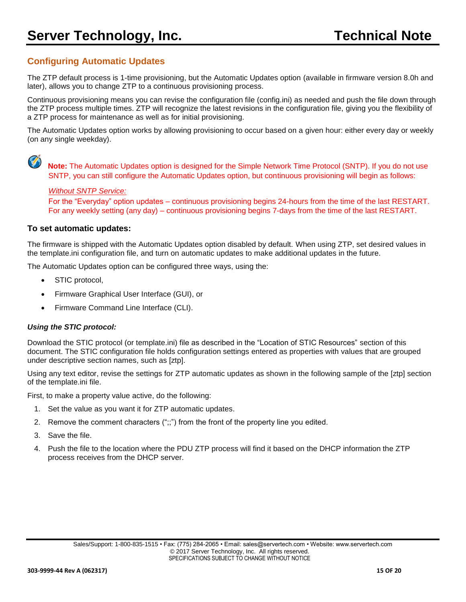# <span id="page-14-0"></span>**Configuring Automatic Updates**

The ZTP default process is 1-time provisioning, but the Automatic Updates option (available in firmware version 8.0h and later), allows you to change ZTP to a continuous provisioning process.

Continuous provisioning means you can revise the configuration file (config.ini) as needed and push the file down through the ZTP process multiple times. ZTP will recognize the latest revisions in the configuration file, giving you the flexibility of a ZTP process for maintenance as well as for initial provisioning.

The Automatic Updates option works by allowing provisioning to occur based on a given hour: either every day or weekly (on any single weekday).



 **Note:** The Automatic Updates option is designed for the Simple Network Time Protocol (SNTP). If you do not use SNTP, you can still configure the Automatic Updates option, but continuous provisioning will begin as follows:

#### *Without SNTP Service:*

 For the "Everyday" option updates – continuous provisioning begins 24-hours from the time of the last RESTART. For any weekly setting (any day) – continuous provisioning begins 7-days from the time of the last RESTART.

#### **To set automatic updates:**

The firmware is shipped with the Automatic Updates option disabled by default. When using ZTP, set desired values in the template.ini configuration file, and turn on automatic updates to make additional updates in the future.

The Automatic Updates option can be configured three ways, using the:

- STIC protocol,
- Firmware Graphical User Interface (GUI), or
- Firmware Command Line Interface (CLI).

#### *Using the STIC protocol:*

Download the STIC protocol (or template.ini) file as described in the "Location of STIC Resources" section of this document. The STIC configuration file holds configuration settings entered as properties with values that are grouped under descriptive section names, such as [ztp].

Using any text editor, revise the settings for ZTP automatic updates as shown in the following sample of the [ztp] section of the template.ini file.

First, to make a property value active, do the following:

- 1. Set the value as you want it for ZTP automatic updates.
- 2. Remove the comment characters (";;") from the front of the property line you edited.
- 3. Save the file.
- 4. Push the file to the location where the PDU ZTP process will find it based on the DHCP information the ZTP process receives from the DHCP server.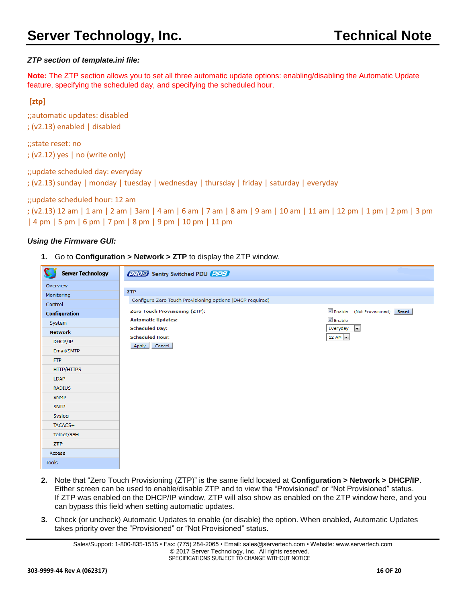## *ZTP section of template.ini file:*

**Note:** The ZTP section allows you to set all three automatic update options: enabling/disabling the Automatic Update feature, specifying the scheduled day, and specifying the scheduled hour.

## **[ztp]**

;;automatic updates: disabled ; (v2.13) enabled | disabled

;;state reset: no ; (v2.12) yes | no (write only)

;;update scheduled day: everyday ; (v2.13) sunday | monday | tuesday | wednesday | thursday | friday | saturday | everyday

#### ;;update scheduled hour: 12 am

```
; (v2.13) 12 am | 1 am | 2 am | 3am | 4 am | 6 am | 7 am | 8 am | 9 am | 10 am | 11 am | 12 pm | 1 pm | 2 pm | 3 pm 
| 4 pm | 5 pm | 6 pm | 7 pm | 8 pm | 9 pm | 10 pm | 11 pm
```
## *Using the Firmware GUI:*

**1.** Go to **Configuration > Network > ZTP** to display the ZTP window.

| <b>Server Technology</b> | <b>PROB</b> Sentry Switched PDU PPS                                                    |
|--------------------------|----------------------------------------------------------------------------------------|
| Overview                 |                                                                                        |
| Monitoring               | <b>ZTP</b>                                                                             |
| Control                  | Configure Zero Touch Provisioning options (DHCP required)                              |
| <b>Configuration</b>     | <b>√</b> Enable<br><b>Zero Touch Provisioning (ZTP):</b><br>(Not Provisioned)<br>Reset |
| System                   | <b>V</b> Enable<br><b>Automatic Updates:</b>                                           |
| <b>Network</b>           | Everyday<br>$\vert \cdot \vert$<br><b>Scheduled Day:</b>                               |
| DHCP/IP                  | 12 AM $\rightarrow$<br><b>Scheduled Hour:</b>                                          |
| Email/SMTP               | Apply Cancel                                                                           |
| <b>FTP</b>               |                                                                                        |
| <b>HTTP/HTTPS</b>        |                                                                                        |
| <b>LDAP</b>              |                                                                                        |
| <b>RADIUS</b>            |                                                                                        |
| <b>SNMP</b>              |                                                                                        |
| <b>SNTP</b>              |                                                                                        |
| Syslog                   |                                                                                        |
| TACACS+                  |                                                                                        |
| Telnet/SSH               |                                                                                        |
| <b>ZTP</b>               |                                                                                        |
| Access                   |                                                                                        |
| <b>Tools</b>             |                                                                                        |

- **2.** Note that "Zero Touch Provisioning (ZTP)" is the same field located at **Configuration > Network > DHCP/IP**. Either screen can be used to enable/disable ZTP and to view the "Provisioned" or "Not Provisioned" status. If ZTP was enabled on the DHCP/IP window, ZTP will also show as enabled on the ZTP window here, and you can bypass this field when setting automatic updates.
- **3.** Check (or uncheck) Automatic Updates to enable (or disable) the option. When enabled, Automatic Updates takes priority over the "Provisioned" or "Not Provisioned" status.

Sales/Support: 1-800-835-1515 • Fax: (775) 284-2065 • Email: sales@servertech.com • Website: www.servertech.com © 2017 Server Technology, Inc. All rights reserved. SPECIFICATIONS SUBJECT TO CHANGE WITHOUT NOTICE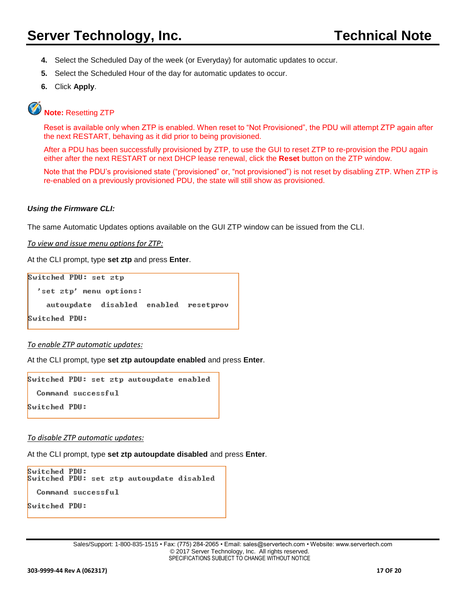- **4.** Select the Scheduled Day of the week (or Everyday) for automatic updates to occur.
- **5.** Select the Scheduled Hour of the day for automatic updates to occur.
- **6.** Click **Apply**.

# **Note:** Resetting ZTP

Reset is available only when ZTP is enabled. When reset to "Not Provisioned", the PDU will attempt ZTP again after the next RESTART, behaving as it did prior to being provisioned.

After a PDU has been successfully provisioned by ZTP, to use the GUI to reset ZTP to re-provision the PDU again either after the next RESTART or next DHCP lease renewal, click the **Reset** button on the ZTP window.

Note that the PDU's provisioned state ("provisioned" or, "not provisioned") is not reset by disabling ZTP. When ZTP is re-enabled on a previously provisioned PDU, the state will still show as provisioned.

#### *Using the Firmware CLI:*

The same Automatic Updates options available on the GUI ZTP window can be issued from the CLI.

*To view and issue menu options for ZTP:*

At the CLI prompt, type **set ztp** and press **Enter**.

```
Switched PDU: set ztp
  'set ztp' menu options:
    autoupdate disabled enabled resetprov
Switched PDU:
```
#### *To enable ZTP automatic updates:*

At the CLI prompt, type **set ztp autoupdate enabled** and press **Enter**.

```
Switched PDU: set ztp autoupdate enabled
  Command successful
Switched PDU:
```
*To disable ZTP automatic updates:*

At the CLI prompt, type **set ztp autoupdate disabled** and press **Enter**.

```
Switched PDU:
Switched PDU: set ztp autoupdate disabled
  Command successful
Switched PDU:
```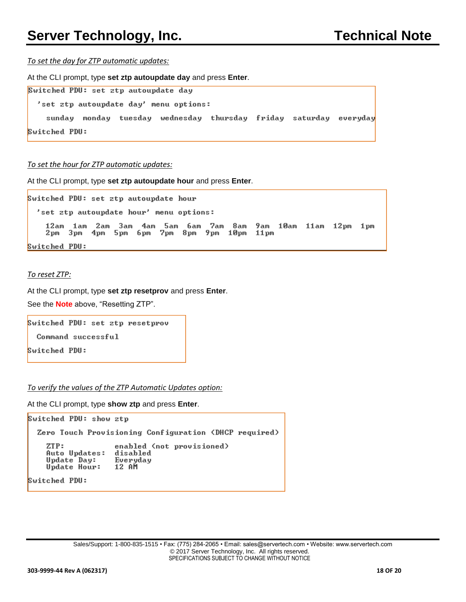*To set the day for ZTP automatic updates:*

At the CLI prompt, type **set ztp autoupdate day** and press **Enter**.

| Switched PDU: set ztp autoupdate day |  |                                                                   |  |  |
|--------------------------------------|--|-------------------------------------------------------------------|--|--|
|                                      |  | 'set ztp autoupdate day' menu options:                            |  |  |
|                                      |  | sunday monday tuesday wednesday thursday friday saturday everyday |  |  |
| Switched PDU:                        |  |                                                                   |  |  |

*To set the hour for ZTP automatic updates:*

At the CLI prompt, type **set ztp autoupdate hour** and press **Enter**.

Switched PDU: set ztp autoupdate hour 'set ztp autoupdate hour' menu options: 12am 1am 2am 3am 4am 5am 6am 7am 8am 9am 10am 11am 12pm 1pm<br>2pm 3pm 4pm 5pm 6pm 7pm 8pm 9pm 10pm 11pm Switched PDU:

#### *To reset ZTP:*

At the CLI prompt, type **set ztp resetprov** and press **Enter**.

See the **Note** above, "Resetting ZTP".

```
Switched PDU: set ztp resetprov
```
Command successful

Switched PDU:

*To verify the values of the ZTP Automatic Updates option:*

At the CLI prompt, type **show ztp** and press **Enter**.

```
Switched PDU: show ztp
 Zero Touch Provisioning Configuration (DHCP required)
    ZTP:
                   enabled (not provisioned)
    Auto Updates:
                   disabled
    Update Day:
                   Everyday
    Update Hour:
                   12 AM
Switched PDU:
```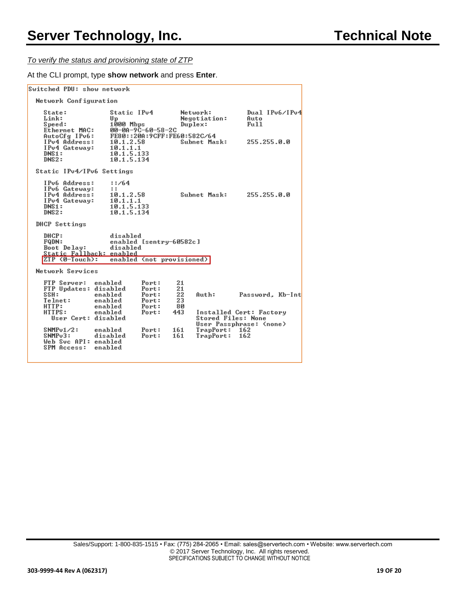*To verify the status and provisioning state of ZTP* 

At the CLI prompt, type **show network** and press **Enter**.

| Switched PDU: show network                                                                                                                                                 |                                                                                       |                                                                      |                                                 |                                                                                                                    |                                               |  |
|----------------------------------------------------------------------------------------------------------------------------------------------------------------------------|---------------------------------------------------------------------------------------|----------------------------------------------------------------------|-------------------------------------------------|--------------------------------------------------------------------------------------------------------------------|-----------------------------------------------|--|
| Network Configuration                                                                                                                                                      |                                                                                       |                                                                      |                                                 |                                                                                                                    |                                               |  |
| State:<br>Link:<br>Speed:<br>Ethernet MAC:<br>AutoCfg IPv6:<br>IPu4 Address:<br>IPv4 Gateway:<br>DNS1:<br>DNS2:                                                            | Static IPv4<br>Up<br>1000 Mbps<br>10.1.2.58<br>10.1.1.1<br>10.1.5.133<br>10.1.5.134   | 00-0A-9C-60-58-2C<br>FE80::20A:9CFF:FE60:582C/64                     |                                                 | Network:<br>Negotiation:<br>$D$ uple $\times$ :<br>Subnet Mask:                                                    | Dual IPv6/IPv4<br>Auto<br>Fu11<br>255.255.0.0 |  |
| Static IPv4/IPv6 Settings                                                                                                                                                  |                                                                                       |                                                                      |                                                 |                                                                                                                    |                                               |  |
| IPu6 Address:<br>IPu6 Gateway:<br>IPu4 Address:<br>IPv4 Gateway:<br>DNS1:<br>DNS2:                                                                                         | 1:764<br>$\mathbf{r}$<br>10.1.2.58<br>10.1.1.1<br>10.1.5.133<br>10.1.5.134            |                                                                      |                                                 | Subnet Mask:                                                                                                       | 255.255.0.0                                   |  |
| DHCP Settings                                                                                                                                                              |                                                                                       |                                                                      |                                                 |                                                                                                                    |                                               |  |
| DHCP:<br><b>FQDN:</b><br>Boot Delay:<br>Static Fallback: enabled<br>$ZTP$ $(0-Touch):$                                                                                     | disabled<br>disabled                                                                  | enabled [sentry-60582c]<br>enabled (not provisioned)                 |                                                 |                                                                                                                    |                                               |  |
| Network Services                                                                                                                                                           |                                                                                       |                                                                      |                                                 |                                                                                                                    |                                               |  |
| FTP Server:<br>FTP Updates: disabled<br>SSH:<br>Telnet:<br>HTTP:<br>HTTPS:<br>User Cert: disabled<br>$SNNPu1/2$ :<br>$S$ NM $Pu$ 3:<br>Web Suc API: enabled<br>SPM Access: | enabled<br>enabled<br>enabled<br>enabled<br>enabled<br>enabled<br>disabled<br>enabled | Port:<br>Port:<br>Port:<br>Port:<br>Port:<br>Port:<br>Port:<br>Port: | 21<br>21<br>22<br>23<br>80<br>443<br>161<br>161 | Auth:<br>Installed Cert: Factory<br><b>Stored Files: None</b><br>User Passphrase: (none)<br>TrapPort:<br>TrapPort: | Password, Kb-Int<br>162<br>162                |  |
|                                                                                                                                                                            |                                                                                       |                                                                      |                                                 |                                                                                                                    |                                               |  |